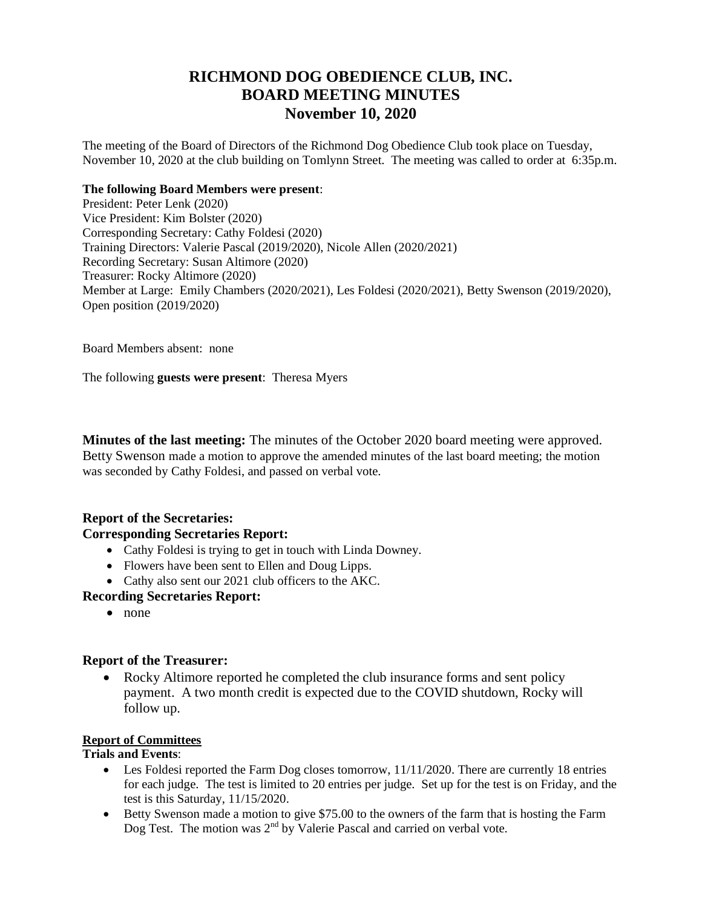# **RICHMOND DOG OBEDIENCE CLUB, INC. BOARD MEETING MINUTES November 10, 2020**

The meeting of the Board of Directors of the Richmond Dog Obedience Club took place on Tuesday, November 10, 2020 at the club building on Tomlynn Street. The meeting was called to order at 6:35p.m.

#### **The following Board Members were present**:

President: Peter Lenk (2020) Vice President: Kim Bolster (2020) Corresponding Secretary: Cathy Foldesi (2020) Training Directors: Valerie Pascal (2019/2020), Nicole Allen (2020/2021) Recording Secretary: Susan Altimore (2020) Treasurer: Rocky Altimore (2020) Member at Large: Emily Chambers (2020/2021), Les Foldesi (2020/2021), Betty Swenson (2019/2020), Open position (2019/2020)

Board Members absent: none

The following **guests were present**: Theresa Myers

**Minutes of the last meeting:** The minutes of the October 2020 board meeting were approved. Betty Swenson made a motion to approve the amended minutes of the last board meeting; the motion was seconded by Cathy Foldesi, and passed on verbal vote.

## **Report of the Secretaries:**

## **Corresponding Secretaries Report:**

- Cathy Foldesi is trying to get in touch with Linda Downey.
- Flowers have been sent to Ellen and Doug Lipps.
- Cathy also sent our 2021 club officers to the AKC.

## **Recording Secretaries Report:**

• none

## **Report of the Treasurer:**

• Rocky Altimore reported he completed the club insurance forms and sent policy payment. A two month credit is expected due to the COVID shutdown, Rocky will follow up.

## **Report of Committees**

#### **Trials and Events**:

- Les Foldesi reported the Farm Dog closes tomorrow, 11/11/2020. There are currently 18 entries for each judge. The test is limited to 20 entries per judge. Set up for the test is on Friday, and the test is this Saturday, 11/15/2020.
- Betty Swenson made a motion to give \$75.00 to the owners of the farm that is hosting the Farm Dog Test. The motion was 2<sup>nd</sup> by Valerie Pascal and carried on verbal vote.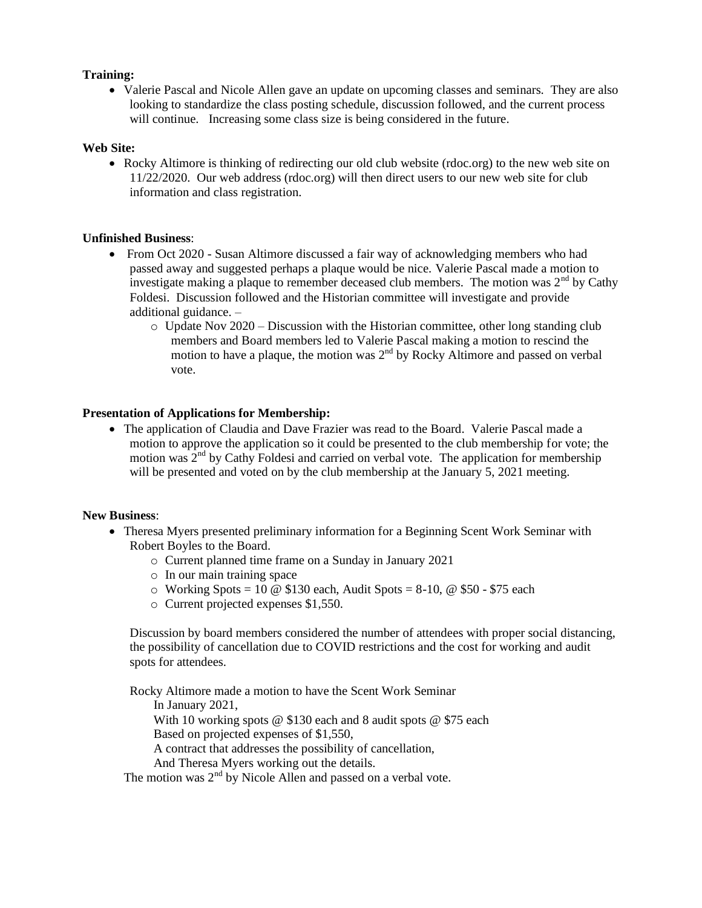#### **Training:**

• Valerie Pascal and Nicole Allen gave an update on upcoming classes and seminars. They are also looking to standardize the class posting schedule, discussion followed, and the current process will continue. Increasing some class size is being considered in the future.

#### **Web Site:**

• Rocky Altimore is thinking of redirecting our old club website (rdoc.org) to the new web site on 11/22/2020. Our web address (rdoc.org) will then direct users to our new web site for club information and class registration.

#### **Unfinished Business**:

- From Oct 2020 Susan Altimore discussed a fair way of acknowledging members who had passed away and suggested perhaps a plaque would be nice. Valerie Pascal made a motion to investigate making a plaque to remember deceased club members. The motion was  $2<sup>nd</sup>$  by Cathy Foldesi. Discussion followed and the Historian committee will investigate and provide additional guidance. –
	- $\circ$  Update Nov 2020 Discussion with the Historian committee, other long standing club members and Board members led to Valerie Pascal making a motion to rescind the motion to have a plaque, the motion was  $2<sup>nd</sup>$  by Rocky Altimore and passed on verbal vote.

#### **Presentation of Applications for Membership:**

 The application of Claudia and Dave Frazier was read to the Board. Valerie Pascal made a motion to approve the application so it could be presented to the club membership for vote; the motion was  $2<sup>nd</sup>$  by Cathy Foldesi and carried on verbal vote. The application for membership will be presented and voted on by the club membership at the January 5, 2021 meeting.

#### **New Business**:

- Theresa Myers presented preliminary information for a Beginning Scent Work Seminar with Robert Boyles to the Board.
	- o Current planned time frame on a Sunday in January 2021
	- o In our main training space
	- $\circ$  Working Spots = 10 @ \$130 each, Audit Spots = 8-10, @ \$50 \$75 each
	- o Current projected expenses \$1,550.

Discussion by board members considered the number of attendees with proper social distancing, the possibility of cancellation due to COVID restrictions and the cost for working and audit spots for attendees.

Rocky Altimore made a motion to have the Scent Work Seminar In January 2021, With 10 working spots @ \$130 each and 8 audit spots @ \$75 each Based on projected expenses of \$1,550, A contract that addresses the possibility of cancellation, And Theresa Myers working out the details.

The motion was  $2<sup>nd</sup>$  by Nicole Allen and passed on a verbal vote.